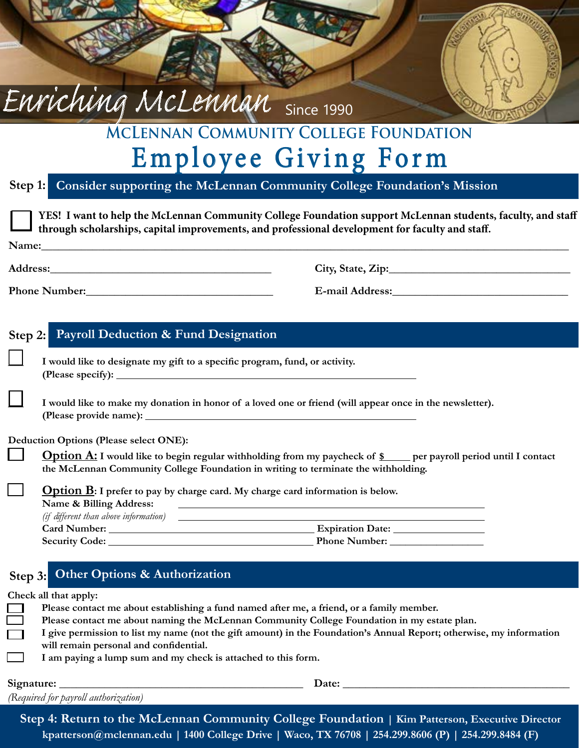# **McLennan Community College Foundation**  Employee Giving Form

**Consider supporting the McLennan Community College Foundation's Mission Step 1:**

Enriching McLennan Since 1990

|  |                                                                             | YES! I want to help the McLennan Community College Foundation support McLennan students, faculty, and staff<br>through scholarships, capital improvements, and professional development for faculty and staff. |
|--|-----------------------------------------------------------------------------|----------------------------------------------------------------------------------------------------------------------------------------------------------------------------------------------------------------|
|  | Name: Name:                                                                 |                                                                                                                                                                                                                |
|  |                                                                             |                                                                                                                                                                                                                |
|  |                                                                             |                                                                                                                                                                                                                |
|  | Step 2: Payroll Deduction & Fund Designation                                |                                                                                                                                                                                                                |
|  | I would like to designate my gift to a specific program, fund, or activity. |                                                                                                                                                                                                                |
|  | (Please specify): $\qquad \qquad$                                           |                                                                                                                                                                                                                |
|  |                                                                             | I would like to make my donation in honor of a loved one or friend (will appear once in the newsletter).                                                                                                       |
|  | <b>Deduction Options (Please select ONE):</b>                               |                                                                                                                                                                                                                |
|  |                                                                             | Option A: I would like to begin regular withholding from my paycheck of \$ per payroll period until I contact<br>the McLennan Community College Foundation in writing to terminate the withholding.            |

**Option B:** I prefer to pay by charge card. My charge card information is below. **Name & Billing Address:**  *(if different than above information)* **Card Number: Expiration Date: Security Code: Phone Number: \_\_\_\_\_\_\_\_\_\_\_\_\_\_\_\_\_\_**

### **Other Options & Authorization Step 3:**

**Check all that apply:**

| Please contact me about establishing a fund named after me, a friend, or a family member.                            |  |
|----------------------------------------------------------------------------------------------------------------------|--|
| Please contact me about naming the McLennan Community College Foundation in my estate plan.                          |  |
| I give permission to list my name (not the gift amount) in the Foundation's Annual Report; otherwise, my information |  |
| will remain personal and confidential.                                                                               |  |
| I am paying a lump sum and my check is attached to this form.                                                        |  |
|                                                                                                                      |  |

**Signature: \_\_\_\_\_\_\_\_\_\_\_\_\_\_\_\_\_\_\_\_\_\_\_\_\_\_\_\_\_\_\_\_\_\_\_\_\_\_\_\_\_\_\_ Date: \_\_\_\_\_\_\_\_\_\_\_\_\_\_\_\_\_\_\_\_\_\_\_\_\_\_\_\_\_\_\_\_\_\_\_\_\_\_\_\_** *(Required for payroll authorization)*

**Step 4: Return to the McLennan Community College Foundation | Kim Patterson, Executive Director kpatterson@mclennan.edu | 1400 College Drive | Waco, TX 76708 | 254.299.8606 (P) | 254.299.8484 (F)**